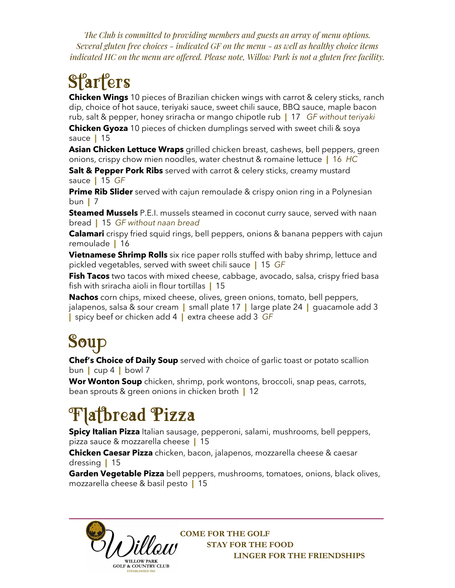*The Club is committed to providing members and guests an array of menu options. Several gluten free choices - indicated GF on the menu - as well as healthy choice items indicated HC on the menu are offered. Please note, Willow Park is not a gluten free facility.* 

# **Starters**

**Chicken Wings** 10 pieces of Brazilian chicken wings with carrot & celery sticks, ranch dip, choice of hot sauce, teriyaki sauce, sweet chili sauce, BBQ sauce, maple bacon rub, salt & pepper, honey sriracha or mango chipotle rub **|** 17 *GF without teriyaki* 

**Chicken Gyoza** 10 pieces of chicken dumplings served with sweet chili & soya sauce **|** 15

**Asian Chicken Lettuce Wraps** grilled chicken breast, cashews, bell peppers, green onions, crispy chow mien noodles, water chestnut & romaine lettuce **|** 16 *HC* 

**Salt & Pepper Pork Ribs** served with carrot & celery sticks, creamy mustard sauce **|** 15 *GF*

**Prime Rib Slider** served with cajun remoulade & crispy onion ring in a Polynesian bun **|** 7

**Steamed Mussels** P.E.I. mussels steamed in coconut curry sauce, served with naan bread **|** 15 *GF without naan bread*

**Calamari** crispy fried squid rings, bell peppers, onions & banana peppers with cajun remoulade **|** 16

**Vietnamese Shrimp Rolls** six rice paper rolls stuffed with baby shrimp, lettuce and pickled vegetables, served with sweet chili sauce **|** 15 *GF* 

**Fish Tacos** two tacos with mixed cheese, cabbage, avocado, salsa, crispy fried basa fish with sriracha aioli in flour tortillas **|** 15

**Nachos** corn chips, mixed cheese, olives, green onions, tomato, bell peppers, jalapenos, salsa & sour cream **|** small plate 17 **|** large plate 24 **|** guacamole add 3 **|** spicy beef or chicken add 4 **|** extra cheese add 3 *GF*

## Soup

**Chef's Choice of Daily Soup** served with choice of garlic toast or potato scallion bun **|** cup 4 **|** bowl 7

**Wor Wonton Soup** chicken, shrimp, pork wontons, broccoli, snap peas, carrots, bean sprouts & green onions in chicken broth **|** 12

# **Flatbread Pizza**

**Spicy Italian Pizza** Italian sausage, pepperoni, salami, mushrooms, bell peppers, pizza sauce & mozzarella cheese **|** 15

**Chicken Caesar Pizza** chicken, bacon, jalapenos, mozzarella cheese & caesar dressing **|** 15

**Garden Vegetable Pizza** bell peppers, mushrooms, tomatoes, onions, black olives, mozzarella cheese & basil pesto **|** 15

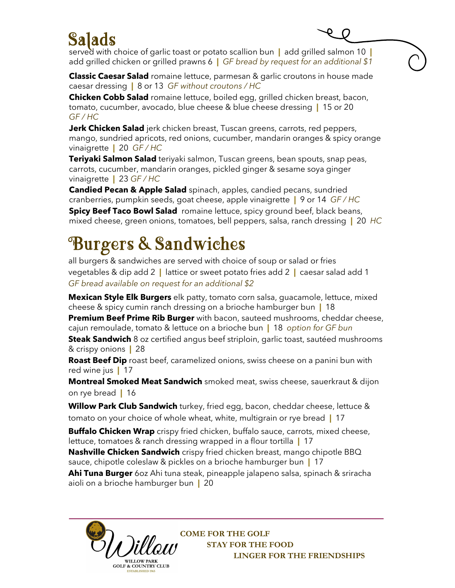### Salads

served with choice of garlic toast or potato scallion bun **|** add grilled salmon 10 **|**  add grilled chicken or grilled prawns 6 **|** *GF bread by request for an additional \$1*

٥

**Classic Caesar Salad** romaine lettuce, parmesan & garlic croutons in house made caesar dressing **|** 8 or 13 *GF without croutons / HC* 

**Chicken Cobb Salad** romaine lettuce, boiled egg, grilled chicken breast, bacon, tomato, cucumber, avocado, blue cheese & blue cheese dressing **|** 15 or 20 *GF / HC* 

**Jerk Chicken Salad** jerk chicken breast, Tuscan greens, carrots, red peppers, mango, sundried apricots, red onions, cucumber, mandarin oranges & spicy orange vinaigrette **|** 20 *GF / HC* 

**Teriyaki Salmon Salad** teriyaki salmon, Tuscan greens, bean spouts, snap peas, carrots, cucumber, mandarin oranges, pickled ginger & sesame soya ginger vinaigrette **|** 23 *GF / HC* 

**Candied Pecan & Apple Salad** spinach, apples, candied pecans, sundried cranberries, pumpkin seeds, goat cheese, apple vinaigrette **|** 9 or 14 *GF / HC* **Spicy Beef Taco Bowl Salad** romaine lettuce, spicy ground beef, black beans, mixed cheese, green onions, tomatoes, bell peppers, salsa, ranch dressing **|** 20 *HC* 

### Burgers & Sandwiches

all burgers & sandwiches are served with choice of soup or salad or fries vegetables & dip add 2 **|** lattice or sweet potato fries add 2 **|** caesar salad add 1 *GF bread available on request for an additional \$2*

**Mexican Style Elk Burgers** elk patty, tomato corn salsa, guacamole, lettuce, mixed cheese & spicy cumin ranch dressing on a brioche hamburger bun **|** 18

**Premium Beef Prime Rib Burger** with bacon, sauteed mushrooms, cheddar cheese, cajun remoulade, tomato & lettuce on a brioche bun **|** 18 *option for GF bun*  **Steak Sandwich** 8 oz certified angus beef striploin, garlic toast, sautéed mushrooms & crispy onions **|** 28

**Roast Beef Dip** roast beef, caramelized onions, swiss cheese on a panini bun with red wine jus **|** 17

**Montreal Smoked Meat Sandwich** smoked meat, swiss cheese, sauerkraut & dijon on rye bread **|** 16

**Willow Park Club Sandwich** turkey, fried egg, bacon, cheddar cheese, lettuce & tomato on your choice of whole wheat, white, multigrain or rye bread **|** 17

**Buffalo Chicken Wrap** crispy fried chicken, buffalo sauce, carrots, mixed cheese, lettuce, tomatoes & ranch dressing wrapped in a flour tortilla **|** 17

**Nashville Chicken Sandwich** crispy fried chicken breast, mango chipotle BBQ sauce, chipotle coleslaw & pickles on a brioche hamburger bun **|** 17

**Ahi Tuna Burger** 6oz Ahi tuna steak, pineapple jalapeno salsa, spinach & sriracha aioli on a brioche hamburger bun **|** 20

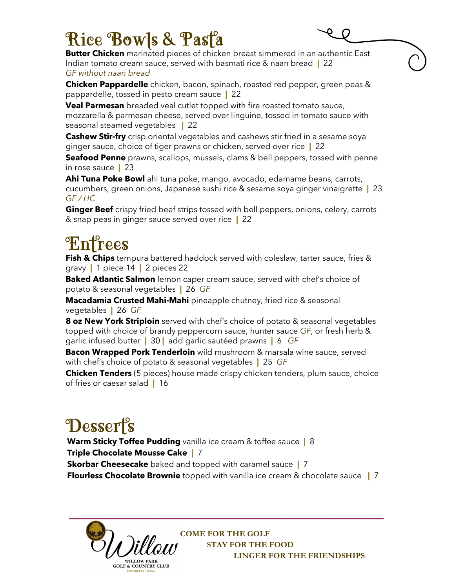### Rice Bowls & Past<sup>9</sup>a

**Butter Chicken** marinated pieces of chicken breast simmered in an authentic East Indian tomato cream sauce, served with basmati rice & naan bread **|** 22 *GF without naan bread* 

**Chicken Pappardelle** chicken, bacon, spinach, roasted red pepper, green peas & pappardelle, tossed in pesto cream sauce **|** 22

**Veal Parmesan** breaded veal cutlet topped with fire roasted tomato sauce, mozzarella & parmesan cheese, served over linguine, tossed in tomato sauce with seasonal steamed vegetables **|** 22

**Cashew Stir-fry** crisp oriental vegetables and cashews stir fried in a sesame soya ginger sauce, choice of tiger prawns or chicken, served over rice **|** 22

**Seafood Penne** prawns, scallops, mussels, clams & bell peppers, tossed with penne in rose sauce **|** 23

**Ahi Tuna Poke Bowl** ahi tuna poke, mango, avocado, edamame beans, carrots, cucumbers, green onions, Japanese sushi rice & sesame soya ginger vinaigrette **|** 23 *GF / HC*

**Ginger Beef** crispy fried beef strips tossed with bell peppers, onions, celery, carrots & snap peas in ginger sauce served over rice **|** 22

# **Enfrees**

**Fish & Chips** tempura battered haddock served with coleslaw, tarter sauce, fries & gravy **|** 1 piece 14 **|** 2 pieces 22

**Baked Atlantic Salmon** lemon caper cream sauce, served with chef's choice of potato & seasonal vegetables **|** 26 *GF* 

**Macadamia Crusted Mahi-Mahi** pineapple chutney, fried rice & seasonal vegetables **|** 26 *GF*

**8 oz New York Striploin** served with chef's choice of potato & seasonal vegetables topped with choice of brandy peppercorn sauce, hunter sauce *GF*, or fresh herb & garlic infused butter **|** 30 **|** add garlic sautéed prawns **|** 6 *GF*

**Bacon Wrapped Pork Tenderloin** wild mushroom & marsala wine sauce, served with chef's choice of potato & seasonal vegetables **|** 25 *GF*

**Chicken Tenders** (5 pieces) house made crispy chicken tenders, plum sauce, choice of fries or caesar salad **|** 16

## Dessert's

**Warm Sticky Toffee Pudding** vanilla ice cream & toffee sauce **|** 8 **Triple Chocolate Mousse Cake |** 7 **Skorbar Cheesecake** baked and topped with caramel sauce **|** 7 **Flourless Chocolate Brownie** topped with vanilla ice cream & chocolate sauce **|** 7